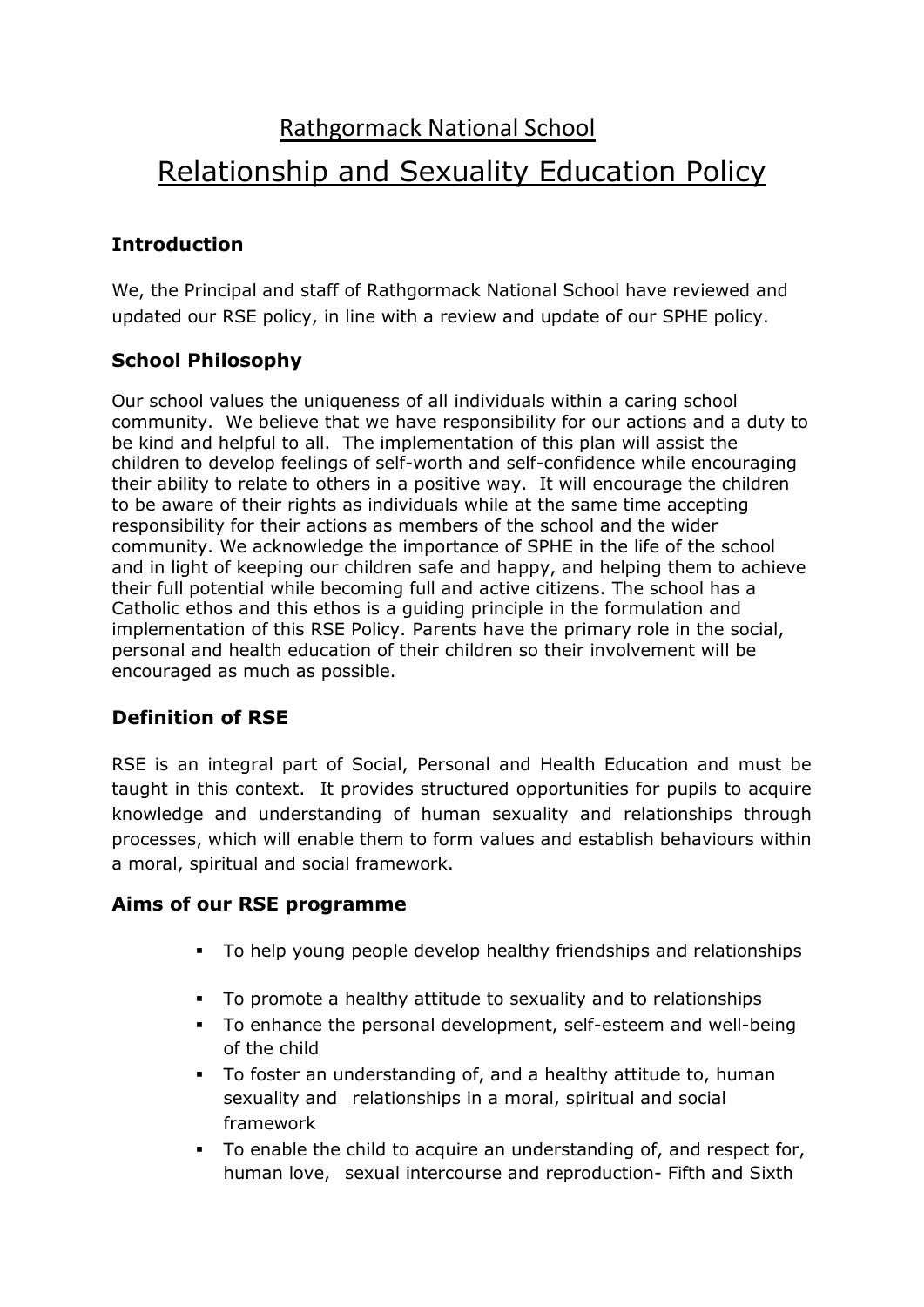# Rathgormack National School Relationship and Sexuality Education Policy

## **Introduction**

We, the Principal and staff of Rathgormack National School have reviewed and updated our RSE policy, in line with a review and update of our SPHE policy.

## **School Philosophy**

Our school values the uniqueness of all individuals within a caring school community. We believe that we have responsibility for our actions and a duty to be kind and helpful to all. The implementation of this plan will assist the children to develop feelings of self-worth and self-confidence while encouraging their ability to relate to others in a positive way. It will encourage the children to be aware of their rights as individuals while at the same time accepting responsibility for their actions as members of the school and the wider community. We acknowledge the importance of SPHE in the life of the school and in light of keeping our children safe and happy, and helping them to achieve their full potential while becoming full and active citizens. The school has a Catholic ethos and this ethos is a guiding principle in the formulation and implementation of this RSE Policy. Parents have the primary role in the social, personal and health education of their children so their involvement will be encouraged as much as possible.

## **Definition of RSE**

RSE is an integral part of Social, Personal and Health Education and must be taught in this context. It provides structured opportunities for pupils to acquire knowledge and understanding of human sexuality and relationships through processes, which will enable them to form values and establish behaviours within a moral, spiritual and social framework.

#### **Aims of our RSE programme**

- To help young people develop healthy friendships and relationships
- To promote a healthy attitude to sexuality and to relationships
- To enhance the personal development, self-esteem and well-being of the child
- To foster an understanding of, and a healthy attitude to, human sexuality and relationships in a moral, spiritual and social framework
- To enable the child to acquire an understanding of, and respect for, human love, sexual intercourse and reproduction- Fifth and Sixth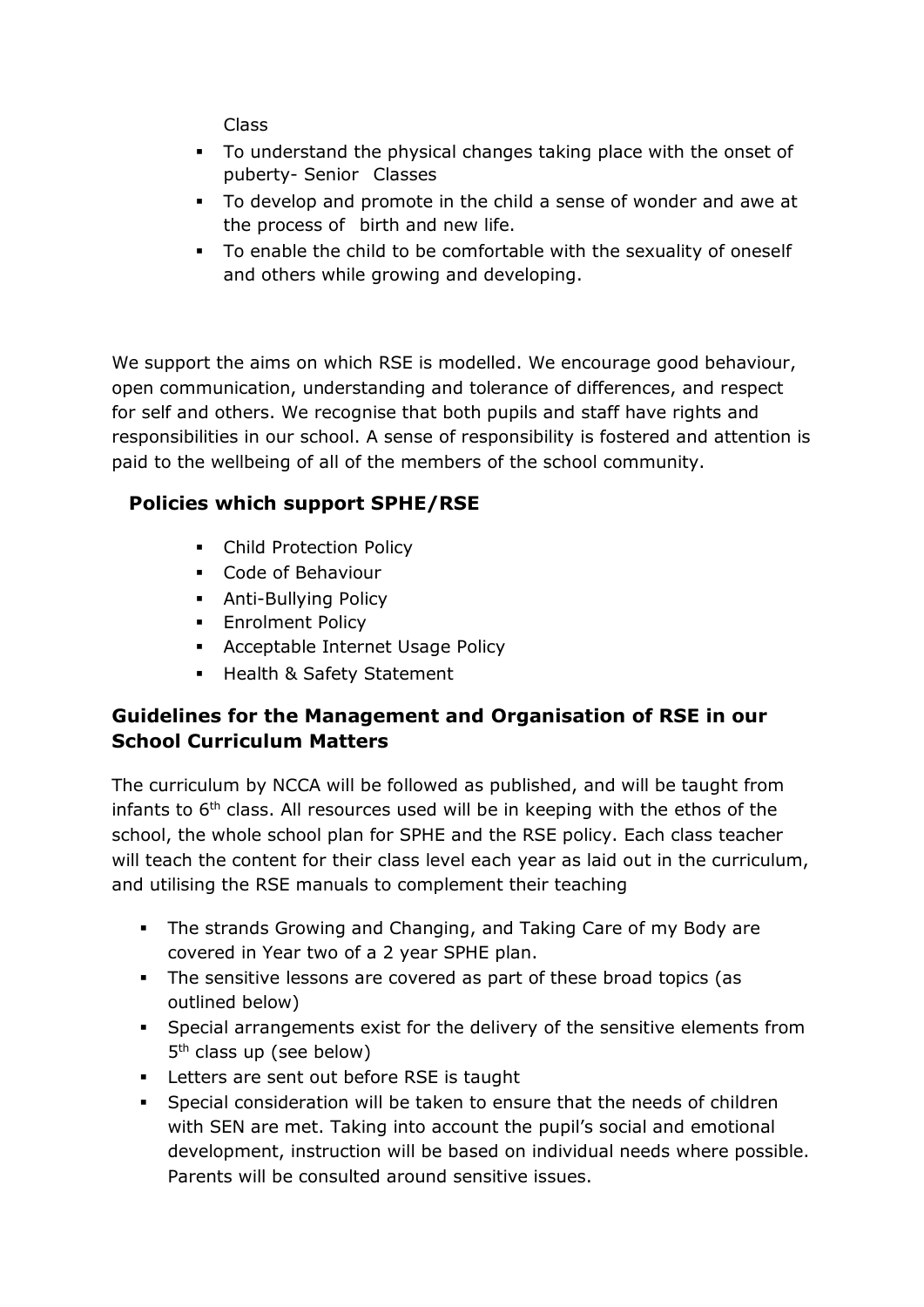Class

- To understand the physical changes taking place with the onset of puberty- Senior Classes
- To develop and promote in the child a sense of wonder and awe at the process of birth and new life.
- To enable the child to be comfortable with the sexuality of oneself and others while growing and developing.

We support the aims on which RSE is modelled. We encourage good behaviour, open communication, understanding and tolerance of differences, and respect for self and others. We recognise that both pupils and staff have rights and responsibilities in our school. A sense of responsibility is fostered and attention is paid to the wellbeing of all of the members of the school community.

## **Policies which support SPHE/RSE**

- **Child Protection Policy**
- Code of Behaviour
- **Anti-Bullying Policy**
- **Enrolment Policy**
- Acceptable Internet Usage Policy
- **Health & Safety Statement**

### **Guidelines for the Management and Organisation of RSE in our School Curriculum Matters**

The curriculum by NCCA will be followed as published, and will be taught from infants to  $6<sup>th</sup>$  class. All resources used will be in keeping with the ethos of the school, the whole school plan for SPHE and the RSE policy. Each class teacher will teach the content for their class level each year as laid out in the curriculum, and utilising the RSE manuals to complement their teaching

- **The strands Growing and Changing, and Taking Care of my Body are** covered in Year two of a 2 year SPHE plan.
- The sensitive lessons are covered as part of these broad topics (as outlined below)
- Special arrangements exist for the delivery of the sensitive elements from 5<sup>th</sup> class up (see below)
- **EXEC** Letters are sent out before RSE is taught
- Special consideration will be taken to ensure that the needs of children with SEN are met. Taking into account the pupil's social and emotional development, instruction will be based on individual needs where possible. Parents will be consulted around sensitive issues.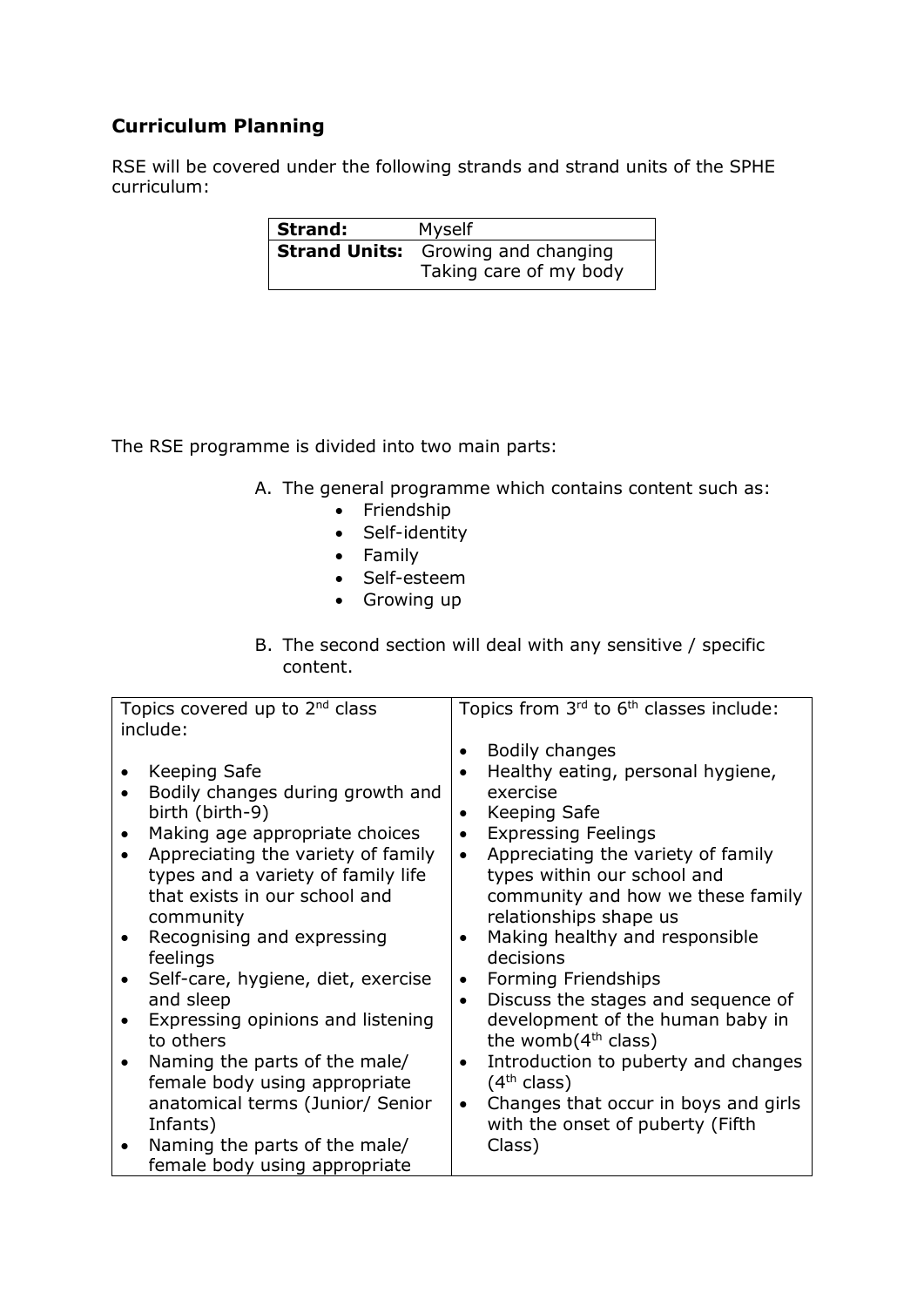## **Curriculum Planning**

RSE will be covered under the following strands and strand units of the SPHE curriculum:

| Strand: | Myself                                    |
|---------|-------------------------------------------|
|         | <b>Strand Units:</b> Growing and changing |
|         | Taking care of my body                    |

The RSE programme is divided into two main parts:

- A. The general programme which contains content such as:
	- Friendship
	- Self-identity
	- Family
	- Self-esteem
	- Growing up
- B. The second section will deal with any sensitive / specific content.

| Topics covered up to 2 <sup>nd</sup> class                                                                                                                                                                         | Topics from 3rd to 6 <sup>th</sup> classes include:                                                                                                                                                                                                                              |
|--------------------------------------------------------------------------------------------------------------------------------------------------------------------------------------------------------------------|----------------------------------------------------------------------------------------------------------------------------------------------------------------------------------------------------------------------------------------------------------------------------------|
| include:                                                                                                                                                                                                           |                                                                                                                                                                                                                                                                                  |
| Keeping Safe<br>Bodily changes during growth and<br>birth (birth-9)<br>Making age appropriate choices<br>Appreciating the variety of family<br>types and a variety of family life<br>that exists in our school and | Bodily changes<br>٠<br>Healthy eating, personal hygiene,<br>$\bullet$<br>exercise<br>Keeping Safe<br>$\bullet$<br><b>Expressing Feelings</b><br>$\bullet$<br>Appreciating the variety of family<br>$\bullet$<br>types within our school and<br>community and how we these family |
| community                                                                                                                                                                                                          | relationships shape us                                                                                                                                                                                                                                                           |
| Recognising and expressing                                                                                                                                                                                         | Making healthy and responsible<br>$\bullet$                                                                                                                                                                                                                                      |
| feelings                                                                                                                                                                                                           | decisions                                                                                                                                                                                                                                                                        |
| Self-care, hygiene, diet, exercise                                                                                                                                                                                 | Forming Friendships<br>$\bullet$                                                                                                                                                                                                                                                 |
| and sleep                                                                                                                                                                                                          | Discuss the stages and sequence of<br>$\bullet$                                                                                                                                                                                                                                  |
| Expressing opinions and listening                                                                                                                                                                                  | development of the human baby in                                                                                                                                                                                                                                                 |
| to others                                                                                                                                                                                                          | the womb $(4th$ class)                                                                                                                                                                                                                                                           |
| Naming the parts of the male/                                                                                                                                                                                      | Introduction to puberty and changes<br>$\bullet$                                                                                                                                                                                                                                 |
| female body using appropriate                                                                                                                                                                                      | (4 <sup>th</sup> class)                                                                                                                                                                                                                                                          |
| anatomical terms (Junior/ Senior                                                                                                                                                                                   | Changes that occur in boys and girls<br>$\bullet$                                                                                                                                                                                                                                |
| Infants)                                                                                                                                                                                                           | with the onset of puberty (Fifth                                                                                                                                                                                                                                                 |
| Naming the parts of the male/                                                                                                                                                                                      | Class)                                                                                                                                                                                                                                                                           |
| female body using appropriate                                                                                                                                                                                      |                                                                                                                                                                                                                                                                                  |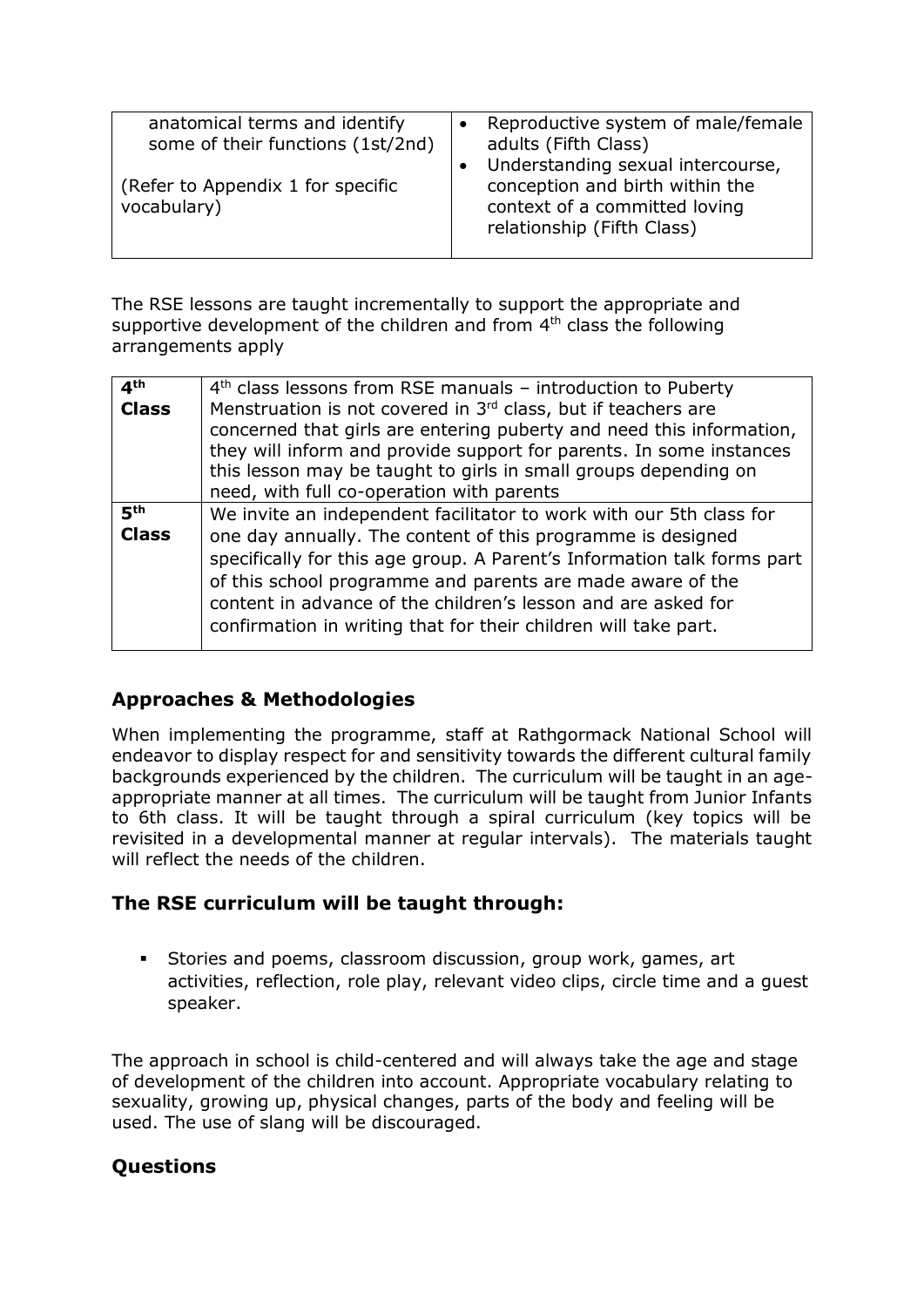| anatomical terms and identify<br>some of their functions (1st/2nd)<br>(Refer to Appendix 1 for specific | Reproductive system of male/female<br>adults (Fifth Class)<br>Understanding sexual intercourse,<br>conception and birth within the |
|---------------------------------------------------------------------------------------------------------|------------------------------------------------------------------------------------------------------------------------------------|
| vocabulary)                                                                                             | context of a committed loving<br>relationship (Fifth Class)                                                                        |

The RSE lessons are taught incrementally to support the appropriate and supportive development of the children and from  $4<sup>th</sup>$  class the following arrangements apply

| 4 <sup>th</sup> | $4th$ class lessons from RSE manuals – introduction to Puberty                                                                                                                                               |
|-----------------|--------------------------------------------------------------------------------------------------------------------------------------------------------------------------------------------------------------|
| <b>Class</b>    | Menstruation is not covered in 3rd class, but if teachers are<br>concerned that girls are entering puberty and need this information,<br>they will inform and provide support for parents. In some instances |
|                 | this lesson may be taught to girls in small groups depending on                                                                                                                                              |
|                 | need, with full co-operation with parents                                                                                                                                                                    |
| 5 <sup>th</sup> | We invite an independent facilitator to work with our 5th class for                                                                                                                                          |
| <b>Class</b>    | one day annually. The content of this programme is designed                                                                                                                                                  |
|                 | specifically for this age group. A Parent's Information talk forms part                                                                                                                                      |
|                 | of this school programme and parents are made aware of the                                                                                                                                                   |
|                 | content in advance of the children's lesson and are asked for                                                                                                                                                |
|                 | confirmation in writing that for their children will take part.                                                                                                                                              |
|                 |                                                                                                                                                                                                              |

#### **Approaches & Methodologies**

When implementing the programme, staff at Rathgormack National School will endeavor to display respect for and sensitivity towards the different cultural family backgrounds experienced by the children. The curriculum will be taught in an ageappropriate manner at all times. The curriculum will be taught from Junior Infants to 6th class. It will be taught through a spiral curriculum (key topics will be revisited in a developmental manner at regular intervals). The materials taught will reflect the needs of the children.

#### **The RSE curriculum will be taught through:**

 Stories and poems, classroom discussion, group work, games, art activities, reflection, role play, relevant video clips, circle time and a guest speaker.

The approach in school is child-centered and will always take the age and stage of development of the children into account. Appropriate vocabulary relating to sexuality, growing up, physical changes, parts of the body and feeling will be used. The use of slang will be discouraged.

## **Questions**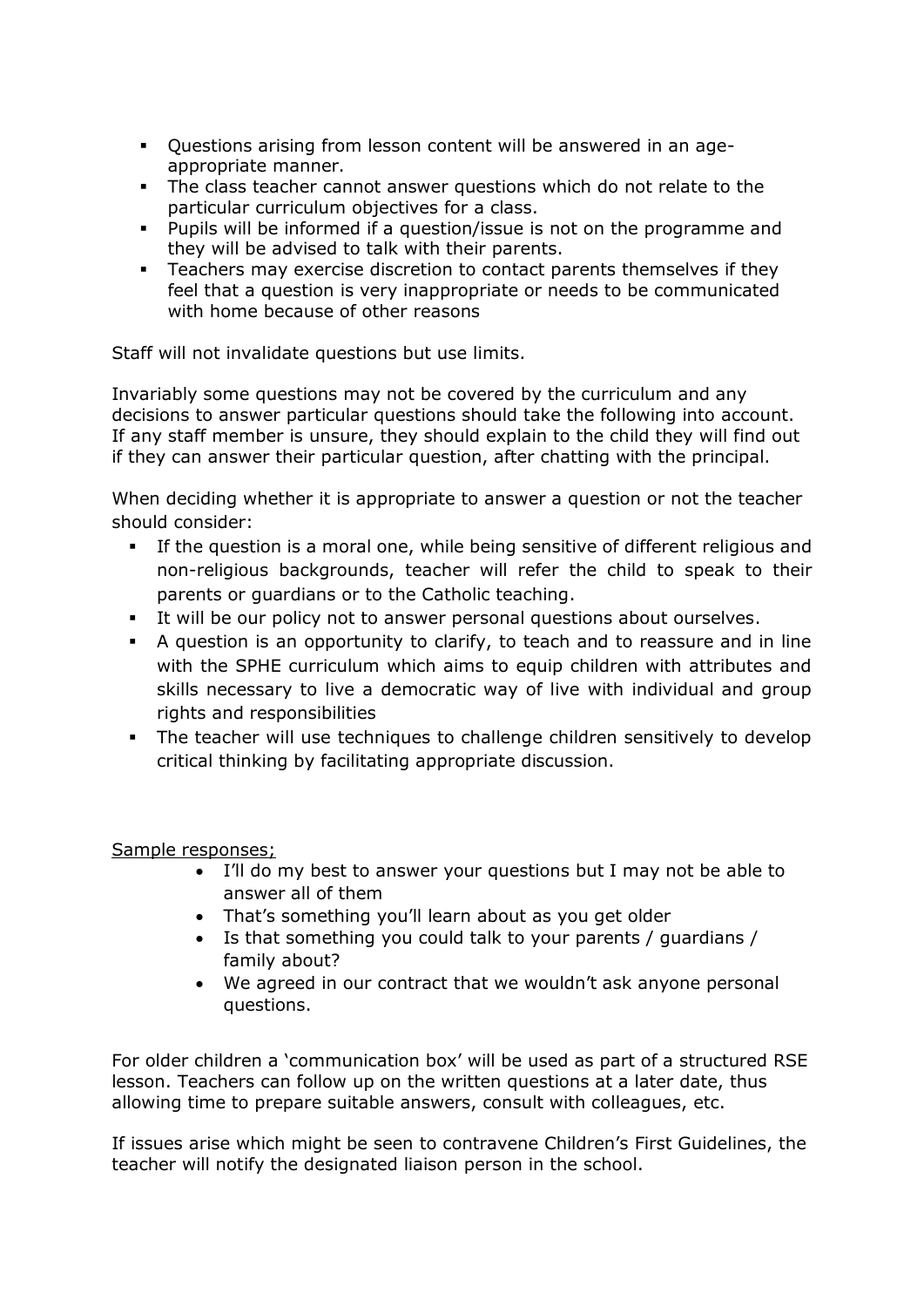- Questions arising from lesson content will be answered in an ageappropriate manner.
- The class teacher cannot answer questions which do not relate to the particular curriculum objectives for a class.
- Pupils will be informed if a question/issue is not on the programme and they will be advised to talk with their parents.
- **Teachers may exercise discretion to contact parents themselves if they** feel that a question is very inappropriate or needs to be communicated with home because of other reasons

Staff will not invalidate questions but use limits.

Invariably some questions may not be covered by the curriculum and any decisions to answer particular questions should take the following into account. If any staff member is unsure, they should explain to the child they will find out if they can answer their particular question, after chatting with the principal.

When deciding whether it is appropriate to answer a question or not the teacher should consider:

- If the question is a moral one, while being sensitive of different religious and non-religious backgrounds, teacher will refer the child to speak to their parents or guardians or to the Catholic teaching.
- It will be our policy not to answer personal questions about ourselves.
- A question is an opportunity to clarify, to teach and to reassure and in line with the SPHE curriculum which aims to equip children with attributes and skills necessary to live a democratic way of live with individual and group rights and responsibilities
- The teacher will use techniques to challenge children sensitively to develop critical thinking by facilitating appropriate discussion.

Sample responses;

- I'll do my best to answer your questions but I may not be able to answer all of them
- That's something you'll learn about as you get older
- Is that something you could talk to your parents / guardians / family about?
- We agreed in our contract that we wouldn't ask anyone personal questions.

For older children a 'communication box' will be used as part of a structured RSE lesson. Teachers can follow up on the written questions at a later date, thus allowing time to prepare suitable answers, consult with colleagues, etc.

If issues arise which might be seen to contravene Children's First Guidelines, the teacher will notify the designated liaison person in the school.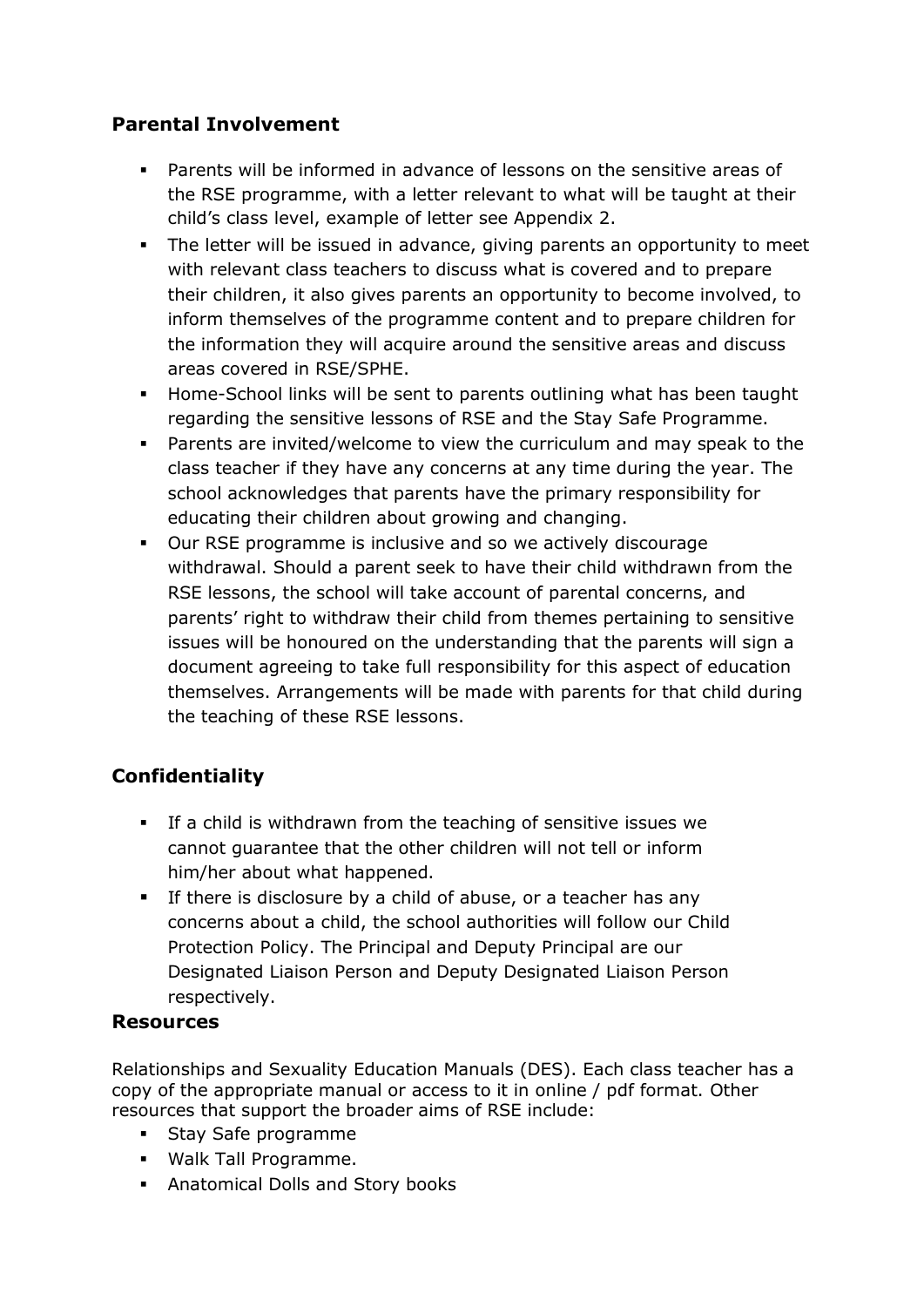## **Parental Involvement**

- Parents will be informed in advance of lessons on the sensitive areas of the RSE programme, with a letter relevant to what will be taught at their child's class level, example of letter see Appendix 2.
- The letter will be issued in advance, giving parents an opportunity to meet with relevant class teachers to discuss what is covered and to prepare their children, it also gives parents an opportunity to become involved, to inform themselves of the programme content and to prepare children for the information they will acquire around the sensitive areas and discuss areas covered in RSE/SPHE.
- Home-School links will be sent to parents outlining what has been taught regarding the sensitive lessons of RSE and the Stay Safe Programme.
- Parents are invited/welcome to view the curriculum and may speak to the class teacher if they have any concerns at any time during the year. The school acknowledges that parents have the primary responsibility for educating their children about growing and changing.
- Our RSE programme is inclusive and so we actively discourage withdrawal. Should a parent seek to have their child withdrawn from the RSE lessons, the school will take account of parental concerns, and parents' right to withdraw their child from themes pertaining to sensitive issues will be honoured on the understanding that the parents will sign a document agreeing to take full responsibility for this aspect of education themselves. Arrangements will be made with parents for that child during the teaching of these RSE lessons.

## **Confidentiality**

- If a child is withdrawn from the teaching of sensitive issues we cannot guarantee that the other children will not tell or inform him/her about what happened.
- **If there is disclosure by a child of abuse, or a teacher has any** concerns about a child, the school authorities will follow our Child Protection Policy. The Principal and Deputy Principal are our Designated Liaison Person and Deputy Designated Liaison Person respectively.

#### **Resources**

Relationships and Sexuality Education Manuals (DES). Each class teacher has a copy of the appropriate manual or access to it in online / pdf format. Other resources that support the broader aims of RSE include:

- **Stay Safe programme**
- Walk Tall Programme.
- Anatomical Dolls and Story books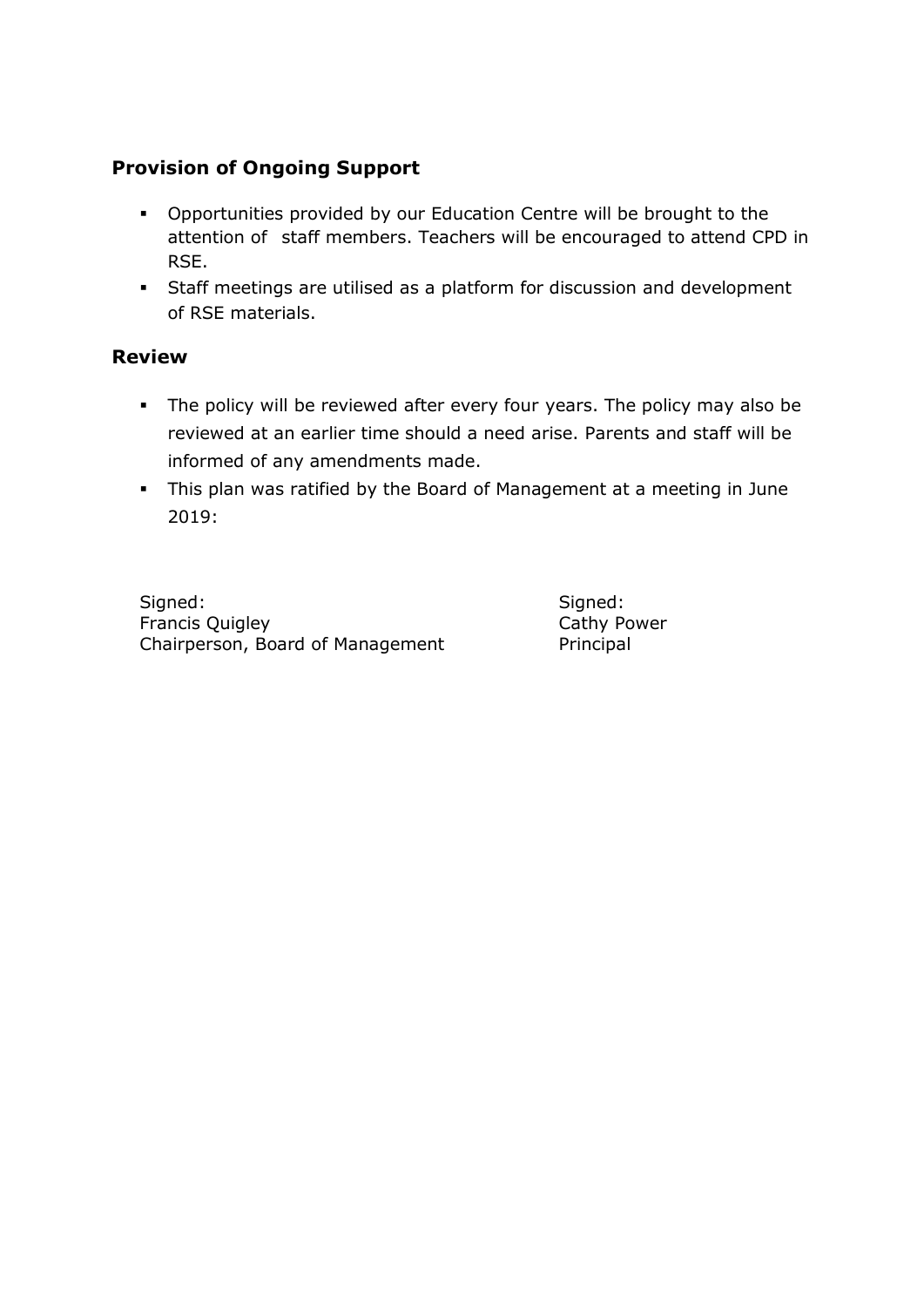### **Provision of Ongoing Support**

- Opportunities provided by our Education Centre will be brought to the attention of staff members. Teachers will be encouraged to attend CPD in RSE.
- Staff meetings are utilised as a platform for discussion and development of RSE materials.

#### **Review**

- The policy will be reviewed after every four years. The policy may also be reviewed at an earlier time should a need arise. Parents and staff will be informed of any amendments made.
- This plan was ratified by the Board of Management at a meeting in June 2019:

Signed: Signed: Signed: Signed: Signed: Signed: Signed: Signed: Signed: Signed: Signed: Signed: Signed: Signed: Signed: Signed: Signed: Signed: Signed: Signed: Signed: Signed: Signed: Signed: Signed: Signed: Signed: Signed Francis Quigley **Cathy Power** Chairperson, Board of Management Principal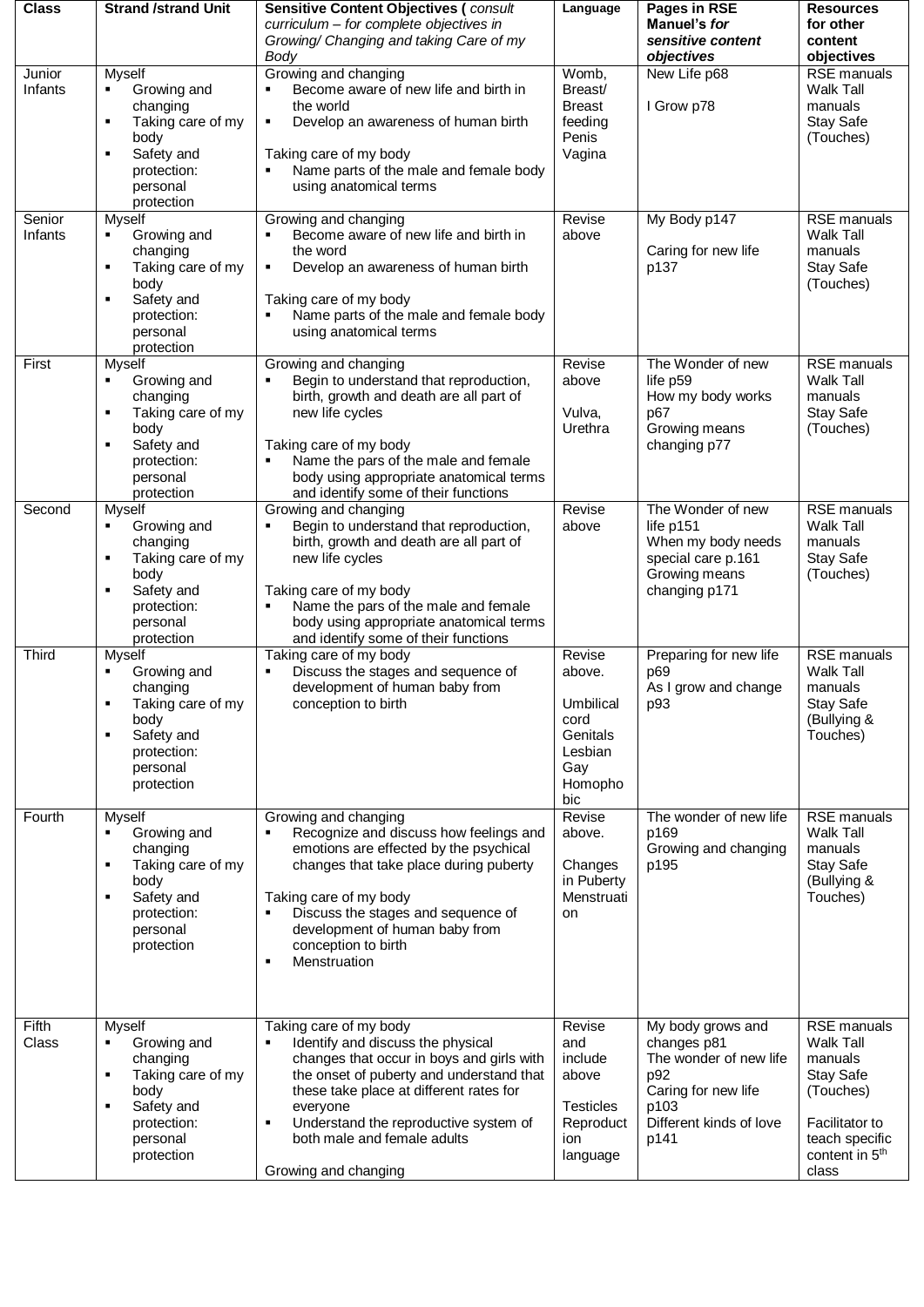| <b>Class</b>      | <b>Strand /strand Unit</b>                                                                                                                  | <b>Sensitive Content Objectives (consult</b>                                                                                                                                                                                                                                                          | Language                                                                    | Pages in RSE                                                                                     | <b>Resources</b>                                                                                 |
|-------------------|---------------------------------------------------------------------------------------------------------------------------------------------|-------------------------------------------------------------------------------------------------------------------------------------------------------------------------------------------------------------------------------------------------------------------------------------------------------|-----------------------------------------------------------------------------|--------------------------------------------------------------------------------------------------|--------------------------------------------------------------------------------------------------|
|                   |                                                                                                                                             | curriculum - for complete objectives in                                                                                                                                                                                                                                                               |                                                                             | Manuel's for                                                                                     | for other                                                                                        |
|                   |                                                                                                                                             | Growing/ Changing and taking Care of my                                                                                                                                                                                                                                                               |                                                                             | sensitive content                                                                                | content                                                                                          |
|                   |                                                                                                                                             | Body                                                                                                                                                                                                                                                                                                  |                                                                             | objectives                                                                                       | objectives                                                                                       |
| Junior<br>Infants | Myself<br>Growing and<br>٠<br>changing<br>Taking care of my<br>٠<br>body<br>Safety and<br>٠<br>protection:                                  | Growing and changing<br>Become aware of new life and birth in<br>the world<br>Develop an awareness of human birth<br>٠<br>Taking care of my body<br>Name parts of the male and female body                                                                                                            | Womb,<br>Breast/<br><b>Breast</b><br>feeding<br>Penis<br>Vagina             | New Life p68<br>I Grow p78                                                                       | <b>RSE</b> manuals<br><b>Walk Tall</b><br>manuals<br><b>Stay Safe</b><br>(Touches)               |
|                   | personal<br>protection                                                                                                                      | using anatomical terms                                                                                                                                                                                                                                                                                |                                                                             |                                                                                                  |                                                                                                  |
| Senior<br>Infants | Myself<br>Growing and<br>changing<br>Taking care of my<br>$\blacksquare$<br>body<br>Safety and<br>٠<br>protection:<br>personal              | Growing and changing<br>Become aware of new life and birth in<br>the word<br>$\blacksquare$<br>Develop an awareness of human birth<br>Taking care of my body<br>Name parts of the male and female body<br>using anatomical terms                                                                      | Revise<br>above                                                             | My Body p147<br>Caring for new life<br>p137                                                      | <b>RSE</b> manuals<br><b>Walk Tall</b><br>manuals<br>Stay Safe<br>(Touches)                      |
|                   | protection                                                                                                                                  |                                                                                                                                                                                                                                                                                                       |                                                                             |                                                                                                  |                                                                                                  |
| First             | Myself<br>Growing and<br>٠<br>changing<br>Taking care of my<br>п<br>body<br>Safety and<br>٠<br>protection:<br>personal<br>protection        | Growing and changing<br>Begin to understand that reproduction,<br>$\blacksquare$<br>birth, growth and death are all part of<br>new life cycles<br>Taking care of my body<br>Name the pars of the male and female<br>body using appropriate anatomical terms<br>and identify some of their functions   | Revise<br>above<br>Vulva,<br>Urethra                                        | The Wonder of new<br>life p59<br>How my body works<br>p67<br>Growing means<br>changing p77       | <b>RSE</b> manuals<br><b>Walk Tall</b><br>manuals<br>Stay Safe<br>(Touches)                      |
| Second            | <b>Myself</b>                                                                                                                               | Growing and changing                                                                                                                                                                                                                                                                                  | Revise                                                                      | The Wonder of new                                                                                | <b>RSE</b> manuals                                                                               |
|                   | Growing and<br>٠<br>changing<br>Taking care of my<br>٠<br>body<br>Safety and<br>protection:<br>personal<br>protection                       | Begin to understand that reproduction,<br>$\blacksquare$<br>birth, growth and death are all part of<br>new life cycles<br>Taking care of my body<br>Name the pars of the male and female<br>body using appropriate anatomical terms<br>and identify some of their functions                           | above                                                                       | life p151<br>When my body needs<br>special care p.161<br>Growing means<br>changing p171          | <b>Walk Tall</b><br>manuals<br><b>Stay Safe</b><br>(Touches)                                     |
| <b>Third</b>      | Myself                                                                                                                                      | Taking care of my body                                                                                                                                                                                                                                                                                | Revise                                                                      | Preparing for new life                                                                           | <b>RSE</b> manuals                                                                               |
|                   | Growing and<br>changing<br>Taking care of my<br>body<br>Safety and<br>п<br>protection:<br>personal<br>protection                            | Discuss the stages and sequence of<br>٠<br>development of human baby from<br>conception to birth                                                                                                                                                                                                      | above.<br>Umbilical<br>cord<br>Genitals<br>Lesbian<br>Gay<br>Homopho<br>bic | p69<br>As I grow and change<br>p93                                                               | <b>Walk Tall</b><br>manuals<br><b>Stay Safe</b><br>(Bullying &<br>Touches)                       |
| Fourth            | <b>Myself</b><br>Growing and<br>٠<br>changing<br>Taking care of my<br>٠<br>body<br>Safety and<br>٠<br>protection:<br>personal<br>protection | Growing and changing<br>Recognize and discuss how feelings and<br>٠<br>emotions are effected by the psychical<br>changes that take place during puberty<br>Taking care of my body<br>Discuss the stages and sequence of<br>development of human baby from<br>conception to birth<br>Menstruation<br>٠ | Revise<br>above.<br>Changes<br>in Puberty<br>Menstruati<br>on               | The wonder of new life<br>p169<br>Growing and changing<br>p195                                   | <b>RSE</b> manuals<br><b>Walk Tall</b><br>manuals<br><b>Stay Safe</b><br>(Bullying &<br>Touches) |
| Fifth<br>Class    | Myself<br>Growing and<br>$\blacksquare$<br>changing<br>Taking care of my<br>٠<br>body<br>٠                                                  | Taking care of my body<br>Identify and discuss the physical<br>٠<br>changes that occur in boys and girls with<br>the onset of puberty and understand that<br>these take place at different rates for                                                                                                  | Revise<br>and<br>include<br>above<br><b>Testicles</b>                       | My body grows and<br>changes p81<br>The wonder of new life<br>p92<br>Caring for new life<br>p103 | RSE manuals<br><b>Walk Tall</b><br>manuals<br>Stay Safe<br>(Touches)                             |
|                   | Safety and<br>protection:<br>personal<br>protection                                                                                         | everyone<br>Understand the reproductive system of<br>٠<br>both male and female adults<br>Growing and changing                                                                                                                                                                                         | Reproduct<br>ion<br>language                                                | Different kinds of love<br>p141                                                                  | Facilitator to<br>teach specific<br>content in 5 <sup>th</sup><br>class                          |